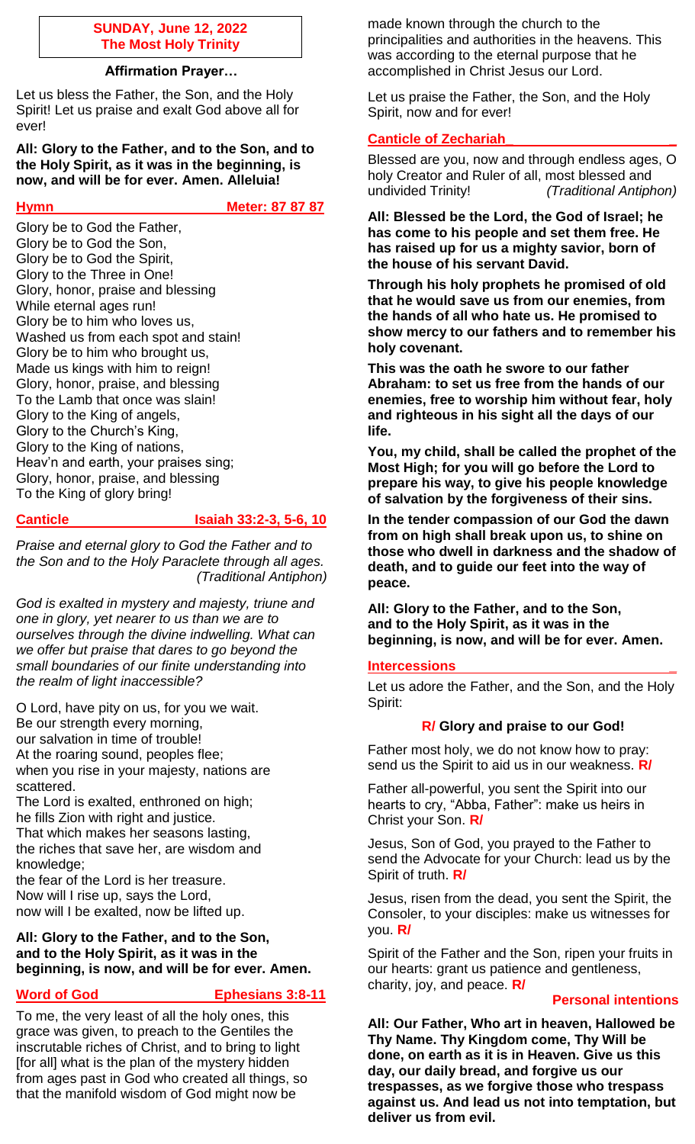### **SUNDAY, June 12, 2022 The Most Holy Trinity**

## **Affirmation Prayer…**

Let us bless the Father, the Son, and the Holy Spirit! Let us praise and exalt God above all for ever!

**All: Glory to the Father, and to the Son, and to the Holy Spirit, as it was in the beginning, is now, and will be for ever. Amen. Alleluia!**

**Hymn** Meter: 87 87 87

Glory be to God the Father, Glory be to God the Son, Glory be to God the Spirit, Glory to the Three in One! Glory, honor, praise and blessing While eternal ages run! Glory be to him who loves us, Washed us from each spot and stain! Glory be to him who brought us, Made us kings with him to reign! Glory, honor, praise, and blessing To the Lamb that once was slain! Glory to the King of angels, Glory to the Church's King, Glory to the King of nations, Heav'n and earth, your praises sing; Glory, honor, praise, and blessing To the King of glory bring!

### **Canticle Isaiah 33:2-3, 5-6, 10**

*Praise and eternal glory to God the Father and to the Son and to the Holy Paraclete through all ages. (Traditional Antiphon)*

*God is exalted in mystery and majesty, triune and one in glory, yet nearer to us than we are to ourselves through the divine indwelling. What can we offer but praise that dares to go beyond the small boundaries of our finite understanding into the realm of light inaccessible?*

O Lord, have pity on us, for you we wait. Be our strength every morning, our salvation in time of trouble! At the roaring sound, peoples flee; when you rise in your majesty, nations are scattered.

The Lord is exalted, enthroned on high; he fills Zion with right and justice. That which makes her seasons lasting, the riches that save her, are wisdom and knowledge;

the fear of the Lord is her treasure. Now will I rise up, says the Lord, now will I be exalted, now be lifted up.

## **All: Glory to the Father, and to the Son, and to the Holy Spirit, as it was in the beginning, is now, and will be for ever. Amen.**

# **Word of God Committee Ephesians 3:8-11**

To me, the very least of all the holy ones, this grace was given, to preach to the Gentiles the inscrutable riches of Christ, and to bring to light [for all] what is the plan of the mystery hidden from ages past in God who created all things, so that the manifold wisdom of God might now be

made known through the church to the principalities and authorities in the heavens. This was according to the eternal purpose that he accomplished in Christ Jesus our Lord.

Let us praise the Father, the Son, and the Holy Spirit, now and for ever!

# **Canticle of Zechariah\_ \_**

Blessed are you, now and through endless ages, O holy Creator and Ruler of all, most blessed and undivided Trinity! *(Traditional Antiphon)*

**All: Blessed be the Lord, the God of Israel; he has come to his people and set them free. He has raised up for us a mighty savior, born of the house of his servant David.**

**Through his holy prophets he promised of old that he would save us from our enemies, from the hands of all who hate us. He promised to show mercy to our fathers and to remember his holy covenant.**

**This was the oath he swore to our father Abraham: to set us free from the hands of our enemies, free to worship him without fear, holy and righteous in his sight all the days of our life.**

**You, my child, shall be called the prophet of the Most High; for you will go before the Lord to prepare his way, to give his people knowledge of salvation by the forgiveness of their sins.**

**In the tender compassion of our God the dawn from on high shall break upon us, to shine on those who dwell in darkness and the shadow of death, and to guide our feet into the way of peace.**

**All: Glory to the Father, and to the Son, and to the Holy Spirit, as it was in the beginning, is now, and will be for ever. Amen.**

## **Intercessions \_**

Let us adore the Father, and the Son, and the Holy Spirit:

## **R/ Glory and praise to our God!**

Father most holy, we do not know how to pray: send us the Spirit to aid us in our weakness. **R/**

Father all-powerful, you sent the Spirit into our hearts to cry, "Abba, Father": make us heirs in Christ your Son. **R/**

Jesus, Son of God, you prayed to the Father to send the Advocate for your Church: lead us by the Spirit of truth. **R/**

Jesus, risen from the dead, you sent the Spirit, the Consoler, to your disciples: make us witnesses for you. **R/**

Spirit of the Father and the Son, ripen your fruits in our hearts: grant us patience and gentleness, charity, joy, and peace. **R/**

## **Personal intentions**

**All: Our Father, Who art in heaven, Hallowed be Thy Name. Thy Kingdom come, Thy Will be done, on earth as it is in Heaven. Give us this day, our daily bread, and forgive us our trespasses, as we forgive those who trespass against us. And lead us not into temptation, but deliver us from evil.**